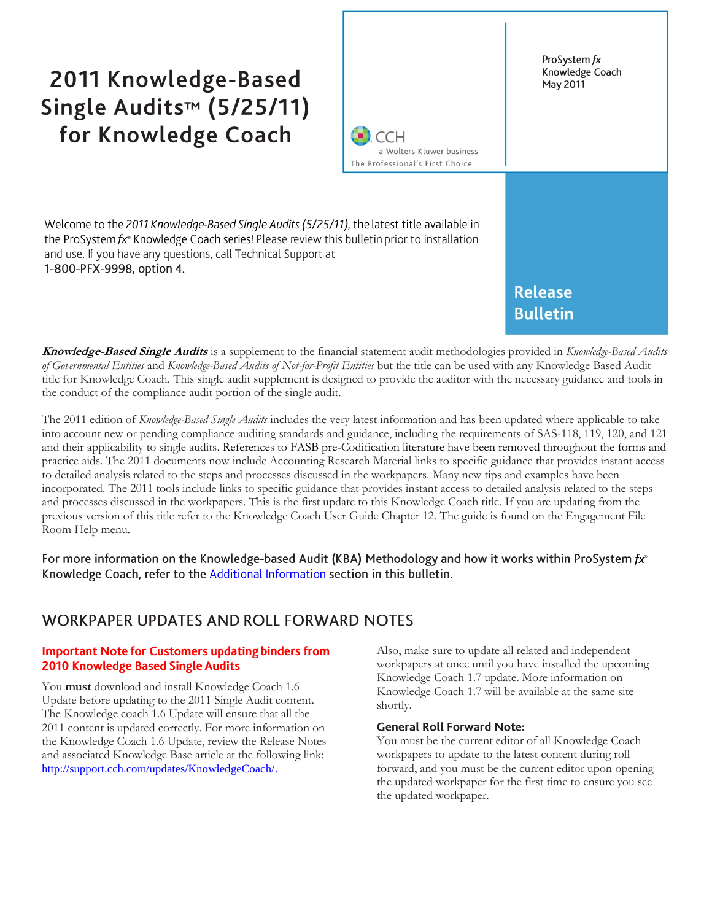# 2011 Knowledge-Based Single Audits™ (5/25/11) for Knowledge Coach

1-800-PFX-9998, option 4.



**Knowledge-Based Single Audits** is a supplement to the financial statement audit methodologies provided in *Knowledge-Based Audits of Governmental Entities* and *Knowledge-Based Audits of Not-for-Profit Entities* but the title can be used with any Knowledge Based Audit title for Knowledge Coach. This single audit supplement is designed to provide the auditor with the necessary guidance and tools in the conduct of the compliance audit portion of the single audit.

The 2011 edition of *Knowledge-Based Single Audits* includes the very latest information and has been updated where applicable to take into account new or pending compliance auditing standards and guidance, including the requirements of SAS-118, 119, 120, and 121 and their applicability to single audits. References to FASB pre-Codification literature have been removed throughout the forms and practice aids. The 2011 documents now include Accounting Research Material links to specific guidance that provides instant access to detailed analysis related to the steps and processes discussed in the workpapers. Many new tips and examples have been incorporated. The 2011 tools include links to specific guidance that provides instant access to detailed analysis related to the steps and processes discussed in the workpapers. This is the first update to this Knowledge Coach title. If you are updating from the previous version of this title refer to the Knowledge Coach User Guide Chapter 12. The guide is found on the Engagement File Room Help menu.

For more information on the Knowledge-based Audit (KBA) Methodology and how it works within ProSystem  $f x^{\circ}$ Knowledge Coach, refer to the Additional Information section in this bulletin.

## WORKPAPER UPDATES AND ROLL FORWARD NOTES

#### **Important Note for Customers updating binders from** 2010 Knowledge Based Single Audits

You **must** download and install Knowledge Coach 1.6 Update before updating to the 2011 Single Audit content. The Knowledge coach 1.6 Update will ensure that all the 2011 content is updated correctly. For more information on the Knowledge Coach 1.6 Update, review the Release Notes and associated Knowledge Base article at the following link: [http://support.cch.com/updates/KnowledgeCoach/.](http://support.cch.com/updates/KnowledgeCoach/) 

Also, make sure to update all related and independent workpapers at once until you have installed the upcoming Knowledge Coach 1.7 update. More information on Knowledge Coach 1.7 will be available at the same site shortly.

#### **General Roll Forward Note:**

You must be the current editor of all Knowledge Coach workpapers to update to the latest content during roll forward, and you must be the current editor upon opening the updated workpaper for the first time to ensure you see the updated workpaper.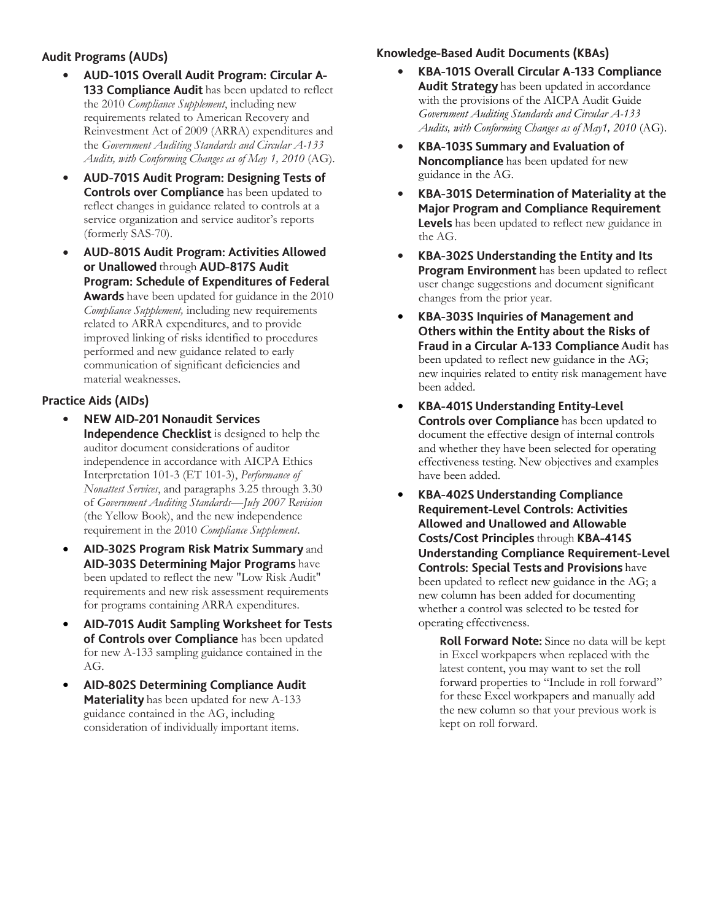#### **Audit Programs (AUDs)**

- $\bullet$ AUD-101S Overall Audit Program: Circular A-133 Compliance Audit has been updated to reflect the 2010 *Compliance Supplement*, including new requirements related to American Recovery and Reinvestment Act of 2009 (ARRA) expenditures and the *Government Auditing Standards and Circular A-133 Audits, with Conforming Changes as of May 1, 2010* (AG).
- $\bullet$ **AUD-701S Audit Program: Designing Tests of** Controls over Compliance has been updated to reflect changes in guidance related to controls at a service organization and service auditor's reports (formerly SAS-70).
- AUD-801S Audit Program: Activities Allowed  $\bullet$ or Unallowed through AUD-817S Audit Program: Schedule of Expenditures of Federal Awards have been updated for guidance in the 2010 *Compliance Supplement,* including new requirements related to ARRA expenditures, and to provide improved linking of risks identified to procedures performed and new guidance related to early communication of significant deficiencies and material weaknesses.

#### **Practice Aids (AIDs)**

- $\bullet$ **NEW AID-201 Nonaudit Services** Independence Checklist is designed to help the auditor document considerations of auditor independence in accordance with AICPA Ethics Interpretation 101-3 (ET 101-3), *Performance of Nonattest Services*, and paragraphs 3.25 through 3.30 of *Government Auditing Standards—July 2007 Revision* (the Yellow Book), and the new independence requirement in the 2010 *Compliance Supplement*.
- AID-302S Program Risk Matrix Summary and AID-303S Determining Major Programs have been updated to reflect the new "Low Risk Audit" requirements and new risk assessment requirements for programs containing ARRA expenditures.
- $\bullet$ AID-701S Audit Sampling Worksheet for Tests of Controls over Compliance has been updated for new A-133 sampling guidance contained in the AG.
- $\bullet$ AID-802S Determining Compliance Audit Materiality has been updated for new A-133 guidance contained in the AG, including consideration of individually important items.

## Knowledge-Based Audit Documents (KBAs)

- KBA-101S Overall Circular A-133 Compliance  $\bullet$ Audit Strategy has been updated in accordance with the provisions of the AICPA Audit Guide *Government Auditing Standards and Circular A-133 Audits, with Conforming Changes as of May1, 2010* (AG).
- $\bullet$ **KBA-103S Summary and Evaluation of** Noncompliance has been updated for new guidance in the AG.
- $\bullet$ KBA-301S Determination of Materiality at the **Major Program and Compliance Requirement** Levels has been updated to reflect new guidance in the AG.
- KBA-302S Understanding the Entity and Its  $\bullet$ **Program Environment** has been updated to reflect user change suggestions and document significant changes from the prior year.
- **KBA-303S Inquiries of Management and**  $\bullet$ Others within the Entity about the Risks of Fraud in a Circular A-133 Compliance Audit has been updated to reflect new guidance in the AG; new inquiries related to entity risk management have been added.
- $\bullet$ **KBA-401S Understanding Entity-Level Controls over Compliance** has been updated to document the effective design of internal controls and whether they have been selected for operating effectiveness testing. New objectives and examples have been added.
- $\bullet$ **KBA-402S Understanding Compliance Requirement-Level Controls: Activities** Allowed and Unallowed and Allowable Costs/Cost Principles through KBA-414S **Understanding Compliance Requirement-Level Controls: Special Tests and Provisions have** been updated to reflect new guidance in the AG; a new column has been added for documenting whether a control was selected to be tested for operating effectiveness.
	- Roll Forward Note: Since no data will be kept in Excel workpapers when replaced with the latest content, you may want to set the roll forward properties to "Include in roll forward" for these Excel workpapers and manually add the new column so that your previous work is kept on roll forward.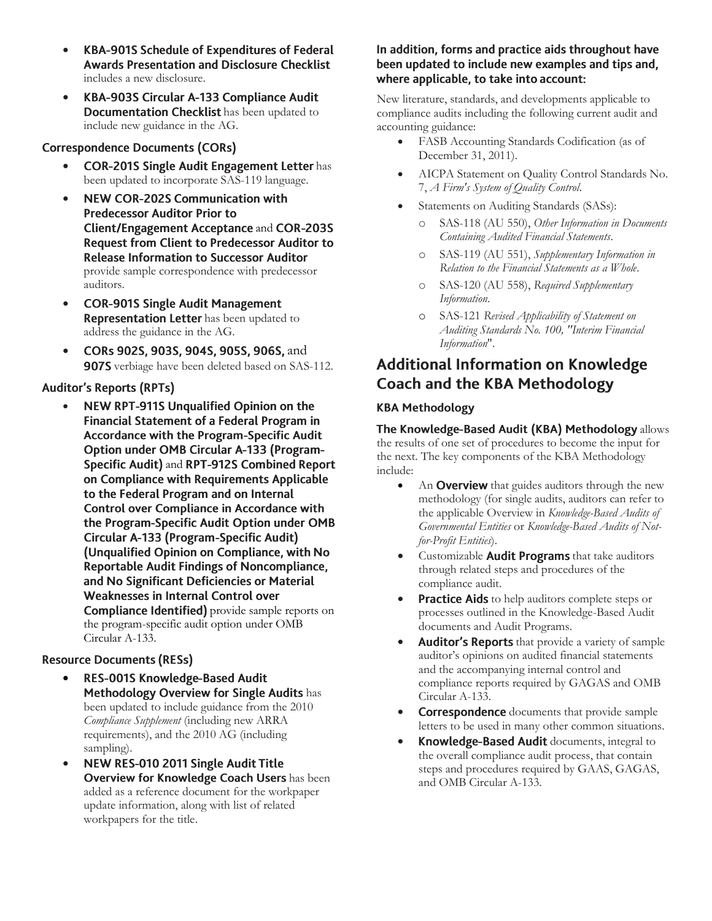- $\bullet$ KBA-901S Schedule of Expenditures of Federal **Awards Presentation and Disclosure Checklist** includes a new disclosure.
- KBA-903S Circular A-133 Compliance Audit  $\bullet$ Documentation Checklist has been updated to include new guidance in the AG.

#### **Correspondence Documents (CORs)**

- **COR-201S Single Audit Engagement Letter has** been updated to incorporate SAS-119 language.
- **NEW COR-202S Communication with**  $\bullet$ **Predecessor Auditor Prior to** Client/Engagement Acceptance and COR-203S **Request from Client to Predecessor Auditor to Release Information to Successor Auditor** provide sample correspondence with predecessor auditors.
- **COR-901S Single Audit Management**  $\bullet$ **Representation Letter** has been updated to address the guidance in the AG.
- CORs 902S, 903S, 904S, 905S, 906S, and 907S verbiage have been deleted based on SAS-112.

#### **Auditor's Reports (RPTs)**

NEW RPT-911S Unqualified Opinion on the  $\bullet$ Financial Statement of a Federal Program in Accordance with the Program-Specific Audit **Option under OMB Circular A-133 (Program-**Specific Audit) and RPT-912S Combined Report on Compliance with Requirements Applicable to the Federal Program and on Internal Control over Compliance in Accordance with the Program-Specific Audit Option under OMB Circular A-133 (Program-Specific Audit) (Unqualified Opinion on Compliance, with No Reportable Audit Findings of Noncompliance, and No Significant Deficiencies or Material Weaknesses in Internal Control over **Compliance Identified**) provide sample reports on the program-specific audit option under OMB Circular A-133.

#### **Resource Documents (RESs)**

- RES-001S Knowledge-Based Audit  $\bullet$ Methodology Overview for Single Audits has been updated to include guidance from the 2010 *Compliance Supplement* (including new ARRA requirements), and the 2010 AG (including sampling).
- NEW RES-010 2011 Single Audit Title  $\bullet$ **Overview for Knowledge Coach Users** has been added as a reference document for the workpaper update information, along with list of related workpapers for the title.

#### In addition, forms and practice aids throughout have been updated to include new examples and tips and, where applicable, to take into account:

New literature, standards, and developments applicable to compliance audits including the following current audit and accounting guidance:

- FASB Accounting Standards Codification (as of December 31, 2011).
- AICPA Statement on Quality Control Standards No. 7, *A Firm's System of Quality Control*.
- Statements on Auditing Standards (SASs):
	- o SAS-118 (AU 550), *Other Information in Documents Containing Audited Financial Statements*.
	- o SAS-119 (AU 551), *Supplementary Information in Relation to the Financial Statements as a Whole*.
	- o SAS-120 (AU 558), *Required Supplementary Information*.
	- o SAS-121 *Revised Applicability of Statement on Auditing Standards No. 100, "Interim Financial Information*".

# **Additional Information on Knowledge Coach and the KBA Methodology**

#### **KBA Methodology**

The Knowledge-Based Audit (KBA) Methodology allows the results of one set of procedures to become the input for the next. The key components of the KBA Methodology include:

- An **Overview** that guides auditors through the new methodology (for single audits, auditors can refer to the applicable Overview in *Knowledge-Based Audits of Governmental Entities* or *Knowledge-Based Audits of Notfor-Profit Entities*).
- Customizable **Audit Programs** that take auditors through related steps and procedures of the compliance audit.
- Practice Aids to help auditors complete steps or processes outlined in the Knowledge-Based Audit documents and Audit Programs.
- Auditor's Reports that provide a variety of sample auditor's opinions on audited financial statements and the accompanying internal control and compliance reports required by GAGAS and OMB Circular A-133.
- **Correspondence** documents that provide sample letters to be used in many other common situations.
- Knowledge-Based Audit documents, integral to the overall compliance audit process, that contain steps and procedures required by GAAS, GAGAS, and OMB Circular A-133.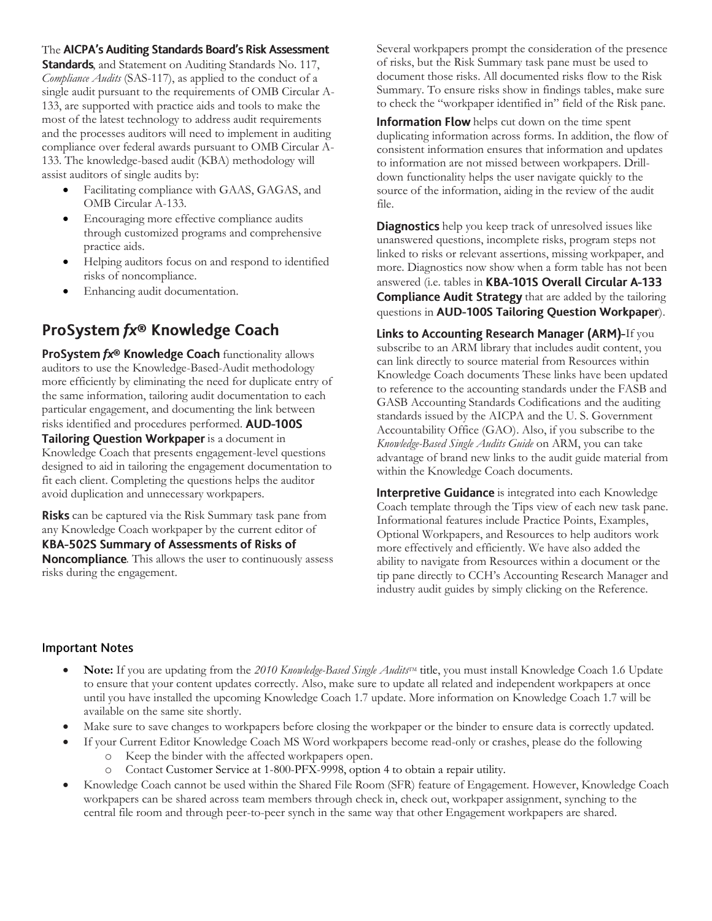#### The AICPA's Auditing Standards Board's Risk Assessment

Standards, and Statement on Auditing Standards No. 117, *Compliance Audits* (SAS-117), as applied to the conduct of a single audit pursuant to the requirements of OMB Circular A-133, are supported with practice aids and tools to make the most of the latest technology to address audit requirements and the processes auditors will need to implement in auditing compliance over federal awards pursuant to OMB Circular A-133. The knowledge-based audit (KBA) methodology will assist auditors of single audits by:

- Facilitating compliance with GAAS, GAGAS, and OMB Circular A-133.
- Encouraging more effective compliance audits through customized programs and comprehensive practice aids.
- Helping auditors focus on and respond to identified risks of noncompliance.
- Enhancing audit documentation.

## ProSystem fx® Knowledge Coach

ProSystem fx® Knowledge Coach functionality allows auditors to use the Knowledge-Based-Audit methodology more efficiently by eliminating the need for duplicate entry of the same information, tailoring audit documentation to each particular engagement, and documenting the link between risks identified and procedures performed. AUD-100S Tailoring Question Workpaper is a document in Knowledge Coach that presents engagement-level questions designed to aid in tailoring the engagement documentation to fit each client. Completing the questions helps the auditor avoid duplication and unnecessary workpapers.

**Risks** can be captured via the Risk Summary task pane from any Knowledge Coach workpaper by the current editor of KBA-502S Summary of Assessments of Risks of **Noncompliance**. This allows the user to continuously assess risks during the engagement.

Several workpapers prompt the consideration of the presence of risks, but the Risk Summary task pane must be used to document those risks. All documented risks flow to the Risk Summary. To ensure risks show in findings tables, make sure to check the "workpaper identified in" field of the Risk pane.

Information Flow helps cut down on the time spent duplicating information across forms. In addition, the flow of consistent information ensures that information and updates to information are not missed between workpapers. Drilldown functionality helps the user navigate quickly to the source of the information, aiding in the review of the audit file.

**Diagnostics** help you keep track of unresolved issues like unanswered questions, incomplete risks, program steps not linked to risks or relevant assertions, missing workpaper, and more. Diagnostics now show when a form table has not been answered (i.e. tables in KBA-101S Overall Circular A-133 **Compliance Audit Strategy** that are added by the tailoring questions in AUD-100S Tailoring Question Workpaper).

Links to Accounting Research Manager (ARM)-If you subscribe to an ARM library that includes audit content, you can link directly to source material from Resources within Knowledge Coach documents These links have been updated to reference to the accounting standards under the FASB and GASB Accounting Standards Codifications and the auditing standards issued by the AICPA and the U. S. Government Accountability Office (GAO). Also, if you subscribe to the *Knowledge-Based Single Audits Guide* on ARM, you can take advantage of brand new links to the audit guide material from within the Knowledge Coach documents.

Interpretive Guidance is integrated into each Knowledge Coach template through the Tips view of each new task pane. Informational features include Practice Points, Examples, Optional Workpapers, and Resources to help auditors work more effectively and efficiently. We have also added the ability to navigate from Resources within a document or the tip pane directly to CCH's Accounting Research Manager and industry audit guides by simply clicking on the Reference.

#### **Important Notes**

- **Note:** If you are updating from the *2010 Knowledge-Based Single Audits*TM title, you must install Knowledge Coach 1.6 Update to ensure that your content updates correctly. Also, make sure to update all related and independent workpapers at once until you have installed the upcoming Knowledge Coach 1.7 update. More information on Knowledge Coach 1.7 will be available on the same site shortly.
- Make sure to save changes to workpapers before closing the workpaper or the binder to ensure data is correctly updated.
- If your Current Editor Knowledge Coach MS Word workpapers become read-only or crashes, please do the following
	- o Keep the binder with the affected workpapers open.
	- o Contact Customer Service at 1-800-PFX-9998, option 4 to obtain a repair utility.
- Knowledge Coach cannot be used within the Shared File Room (SFR) feature of Engagement. However, Knowledge Coach workpapers can be shared across team members through check in, check out, workpaper assignment, synching to the central file room and through peer-to-peer synch in the same way that other Engagement workpapers are shared.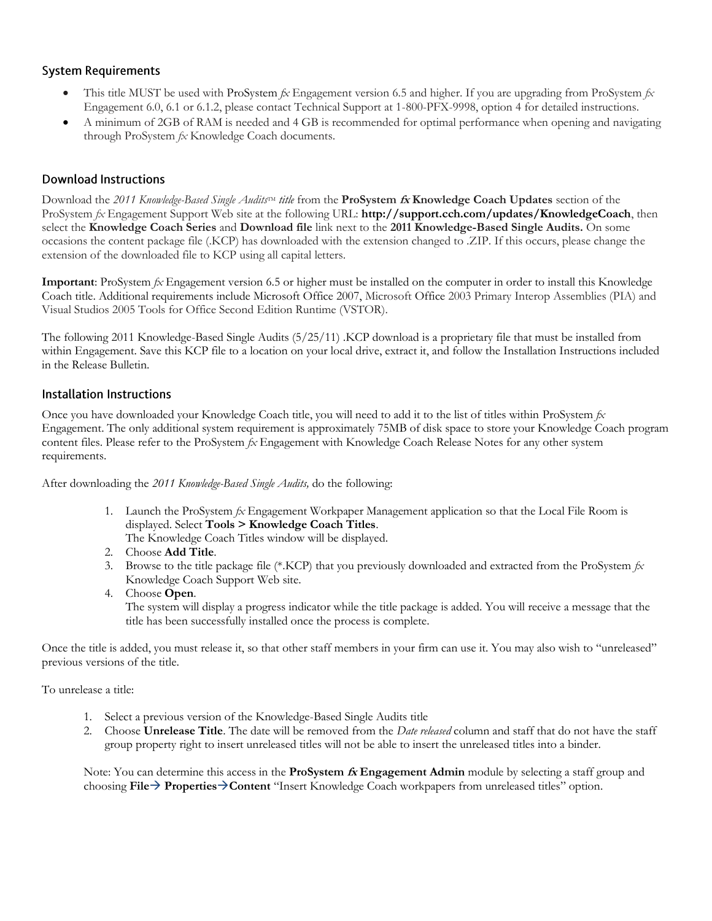#### **System Requirements**

- This title MUST be used with ProSystem *fx* Engagement version 6.5 and higher. If you are upgrading from ProSystem *fx*  Engagement 6.0, 6.1 or 6.1.2, please contact Technical Support at 1-800-PFX-9998, option 4 for detailed instructions.
- A minimum of 2GB of RAM is needed and 4 GB is recommended for optimal performance when opening and navigating through ProSystem *fx* Knowledge Coach documents.

#### **Download Instructions**

Download the 2011 *Knowledge-Based Single Audits*<sup>TM</sup> *title* from the **ProSystem** *fx* **Knowledge Coach Updates** section of the ProSystem *fx* Engagement Support Web site at the following URL: **http://support.cch.com/updates/KnowledgeCoach**, then select the **Knowledge Coach Series** and **Download file** link next to the **2011 Knowledge-Based Single Audits.** On some occasions the content package file (.KCP) has downloaded with the extension changed to .ZIP. If this occurs, please change the extension of the downloaded file to KCP using all capital letters.

**Important**: ProSystem *fx* Engagement version 6.5 or higher must be installed on the computer in order to install this Knowledge Coach title. Additional requirements include Microsoft Office 2007, Microsoft Office 2003 Primary Interop Assemblies (PIA) and Visual Studios 2005 Tools for Office Second Edition Runtime (VSTOR).

The following 2011 Knowledge-Based Single Audits (5/25/11) .KCP download is a proprietary file that must be installed from within Engagement. Save this KCP file to a location on your local drive, extract it, and follow the Installation Instructions included in the Release Bulletin.

#### **Installation Instructions**

Once you have downloaded your Knowledge Coach title, you will need to add it to the list of titles within ProSystem *fx* Engagement. The only additional system requirement is approximately 75MB of disk space to store your Knowledge Coach program content files. Please refer to the ProSystem *fx* Engagement with Knowledge Coach Release Notes for any other system requirements.

After downloading the *2011 Knowledge-Based Single Audits,* do the following:

1. Launch the ProSystem *fx* Engagement Workpaper Management application so that the Local File Room is displayed. Select **Tools > Knowledge Coach Titles**.

The Knowledge Coach Titles window will be displayed.

- 2. Choose **Add Title**.
- 3. Browse to the title package file (\*.KCP) that you previously downloaded and extracted from the ProSystem *fx* Knowledge Coach Support Web site.
- 4. Choose **Open**.

The system will display a progress indicator while the title package is added. You will receive a message that the title has been successfully installed once the process is complete.

Once the title is added, you must release it, so that other staff members in your firm can use it. You may also wish to "unreleased" previous versions of the title.

To unrelease a title:

- 1. Select a previous version of the Knowledge-Based Single Audits title
- 2. Choose **Unrelease Title**. The date will be removed from the *Date released* column and staff that do not have the staff group property right to insert unreleased titles will not be able to insert the unreleased titles into a binder.

Note: You can determine this access in the **ProSystem fx Engagement Admin** module by selecting a staff group and choosing **File PropertiesContent** "Insert Knowledge Coach workpapers from unreleased titles" option.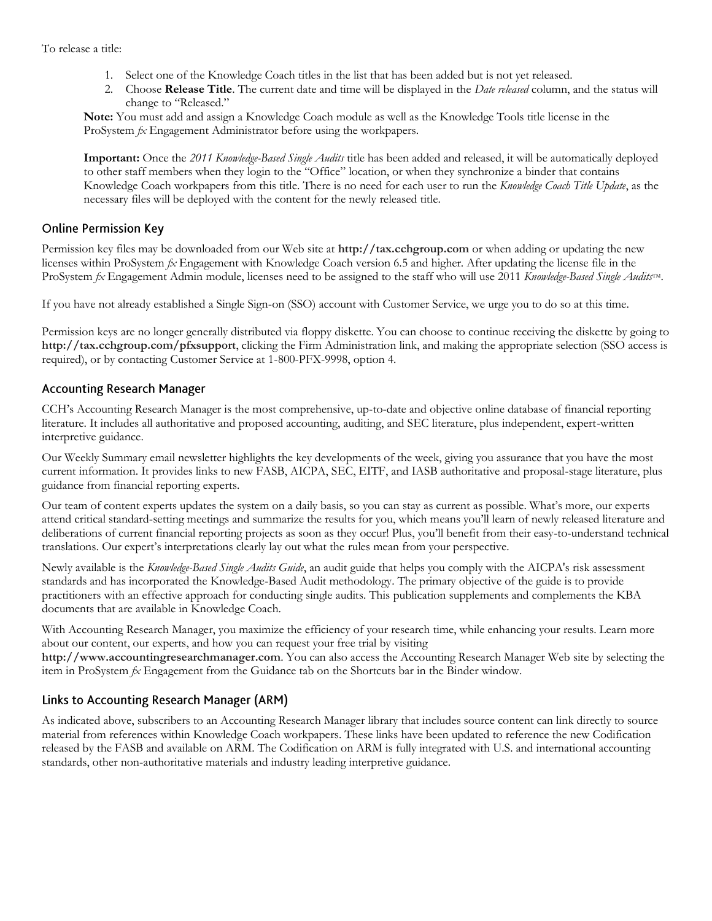- 1. Select one of the Knowledge Coach titles in the list that has been added but is not yet released.
- 2. Choose **Release Title**. The current date and time will be displayed in the *Date released* column, and the status will change to "Released."

**Note:** You must add and assign a Knowledge Coach module as well as the Knowledge Tools title license in the ProSystem *fx* Engagement Administrator before using the workpapers.

**Important:** Once the *2011 Knowledge-Based Single Audits* title has been added and released, it will be automatically deployed to other staff members when they login to the "Office" location, or when they synchronize a binder that contains Knowledge Coach workpapers from this title. There is no need for each user to run the *Knowledge Coach Title Update*, as the necessary files will be deployed with the content for the newly released title.

#### **Online Permission Key**

Permission key files may be downloaded from our Web site at **http://tax.cchgroup.com** or when adding or updating the new licenses within ProSystem *fx* Engagement with Knowledge Coach version 6.5 and higher. After updating the license file in the ProSystem *fx* Engagement Admin module, licenses need to be assigned to the staff who will use 2011 *Knowledge-Based Single Audits*TM.

If you have not already established a Single Sign-on (SSO) account with Customer Service, we urge you to do so at this time.

Permission keys are no longer generally distributed via floppy diskette. You can choose to continue receiving the diskette by going to **http://tax.cchgroup.com/pfxsupport**, clicking the Firm Administration link, and making the appropriate selection (SSO access is required), or by contacting Customer Service at 1-800-PFX-9998, option 4.

#### **Accounting Research Manager**

CCH's Accounting Research Manager is the most comprehensive, up-to-date and objective online database of financial reporting literature. It includes all authoritative and proposed accounting, auditing, and SEC literature, plus independent, expert-written interpretive guidance.

Our Weekly Summary email newsletter highlights the key developments of the week, giving you assurance that you have the most current information. It provides links to new FASB, AICPA, SEC, EITF, and IASB authoritative and proposal-stage literature, plus guidance from financial reporting experts.

Our team of content experts updates the system on a daily basis, so you can stay as current as possible. What's more, our experts attend critical standard-setting meetings and summarize the results for you, which means you'll learn of newly released literature and deliberations of current financial reporting projects as soon as they occur! Plus, you'll benefit from their easy-to-understand technical translations. Our expert's interpretations clearly lay out what the rules mean from your perspective.

Newly available is the *Knowledge-Based Single Audits Guide*, an audit guide that helps you comply with the AICPA's risk assessment standards and has incorporated the Knowledge-Based Audit methodology. The primary objective of the guide is to provide practitioners with an effective approach for conducting single audits. This publication supplements and complements the KBA documents that are available in Knowledge Coach.

With Accounting Research Manager, you maximize the efficiency of your research time, while enhancing your results. Learn more about our content, our experts, and how you can request your free trial by visiting

**http://www.accountingresearchmanager.com**. You can also access the Accounting Research Manager Web site by selecting the item in ProSystem *fx* Engagement from the Guidance tab on the Shortcuts bar in the Binder window.

#### Links to Accounting Research Manager (ARM)

As indicated above, subscribers to an Accounting Research Manager library that includes source content can link directly to source material from references within Knowledge Coach workpapers. These links have been updated to reference the new Codification released by the FASB and available on ARM. The Codification on ARM is fully integrated with U.S. and international accounting standards, other non-authoritative materials and industry leading interpretive guidance.